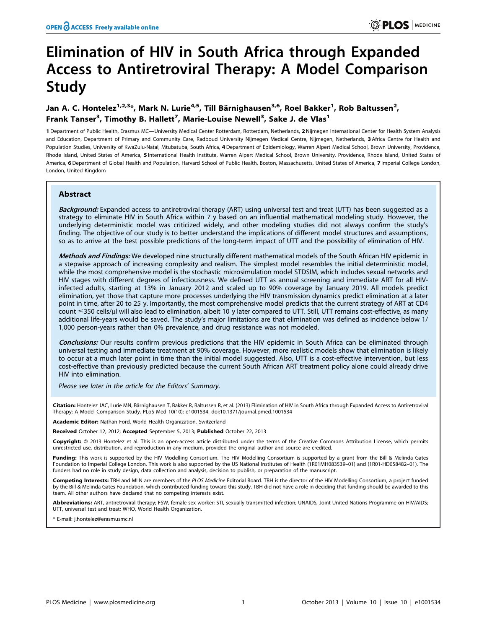# Elimination of HIV in South Africa through Expanded Access to Antiretroviral Therapy: A Model Comparison Study

Jan A. C. Hontelez<sup>1,2,3</sup>\*, Mark N. Lurie<sup>4,5</sup>, Till Bärnighausen<sup>3,6</sup>, Roel Bakker<sup>1</sup>, Rob Baltussen<sup>2</sup>, Frank Tanser<sup>3</sup>, Timothy B. Hallett<sup>7</sup>, Marie-Louise Newell<sup>3</sup>, Sake J. de Vlas<sup>1</sup>

1 Department of Public Health, Erasmus MC—University Medical Center Rotterdam, Rotterdam, Netherlands, 2 Nijmegen International Center for Health System Analysis and Education, Department of Primary and Community Care, Radboud University Nijmegen Medical Centre, Nijmegen, Netherlands, 3 Africa Centre for Health and Population Studies, University of KwaZulu-Natal, Mtubatuba, South Africa, 4 Department of Epidemiology, Warren Alpert Medical School, Brown University, Providence, Rhode Island, United States of America, 5 International Health Institute, Warren Alpert Medical School, Brown University, Providence, Rhode Island, United States of America, 6 Department of Global Health and Population, Harvard School of Public Health, Boston, Massachusetts, United States of America, 7 Imperial College London, London, United Kingdom

# Abstract

Background: Expanded access to antiretroviral therapy (ART) using universal test and treat (UTT) has been suggested as a strategy to eliminate HIV in South Africa within 7 y based on an influential mathematical modeling study. However, the underlying deterministic model was criticized widely, and other modeling studies did not always confirm the study's finding. The objective of our study is to better understand the implications of different model structures and assumptions, so as to arrive at the best possible predictions of the long-term impact of UTT and the possibility of elimination of HIV.

Methods and Findings: We developed nine structurally different mathematical models of the South African HIV epidemic in a stepwise approach of increasing complexity and realism. The simplest model resembles the initial deterministic model, while the most comprehensive model is the stochastic microsimulation model STDSIM, which includes sexual networks and HIV stages with different degrees of infectiousness. We defined UTT as annual screening and immediate ART for all HIVinfected adults, starting at 13% in January 2012 and scaled up to 90% coverage by January 2019. All models predict elimination, yet those that capture more processes underlying the HIV transmission dynamics predict elimination at a later point in time, after 20 to 25 y. Importantly, the most comprehensive model predicts that the current strategy of ART at CD4 count  $\leq$ 350 cells/µl will also lead to elimination, albeit 10 y later compared to UTT. Still, UTT remains cost-effective, as many additional life-years would be saved. The study's major limitations are that elimination was defined as incidence below 1/ 1,000 person-years rather than 0% prevalence, and drug resistance was not modeled.

Conclusions: Our results confirm previous predictions that the HIV epidemic in South Africa can be eliminated through universal testing and immediate treatment at 90% coverage. However, more realistic models show that elimination is likely to occur at a much later point in time than the initial model suggested. Also, UTT is a cost-effective intervention, but less cost-effective than previously predicted because the current South African ART treatment policy alone could already drive HIV into elimination.

Please see later in the article for the Editors' Summary.

Citation: Hontelez JAC, Lurie MN, Bärnighausen T, Bakker R, Baltussen R, et al. (2013) Elimination of HIV in South Africa through Expanded Access to Antiretroviral Therapy: A Model Comparison Study. PLoS Med 10(10): e1001534. doi:10.1371/journal.pmed.1001534

Academic Editor: Nathan Ford, World Health Organization, Switzerland

Received October 12, 2012; Accepted September 5, 2013; Published October 22, 2013

Copyright: © 2013 Hontelez et al. This is an open-access article distributed under the terms of the Creative Commons Attribution License, which permits unrestricted use, distribution, and reproduction in any medium, provided the original author and source are credited.

Funding: This work is supported by the HIV Modelling Consortium. The HIV Modelling Consortium is supported by a grant from the Bill & Melinda Gates Foundation to Imperial College London. This work is also supported by the US National Institutes of Health (1R01MH083539–01) and (1R01-HD058482–01). The funders had no role in study design, data collection and analysis, decision to publish, or preparation of the manuscript.

Competing Interests: TBH and MLN are members of the PLOS Medicine Editorial Board. TBH is the director of the HIV Modelling Consortium, a project funded by the Bill & Melinda Gates Foundation, which contributed funding toward this study. TBH did not have a role in deciding that funding should be awarded to this team. All other authors have declared that no competing interests exist.

Abbreviations: ART, antiretroviral therapy; FSW, female sex worker; STI, sexually transmitted infection; UNAIDS, Joint United Nations Programme on HIV/AIDS; UTT, universal test and treat; WHO, World Health Organization.

\* E-mail: j.hontelez@erasmusmc.nl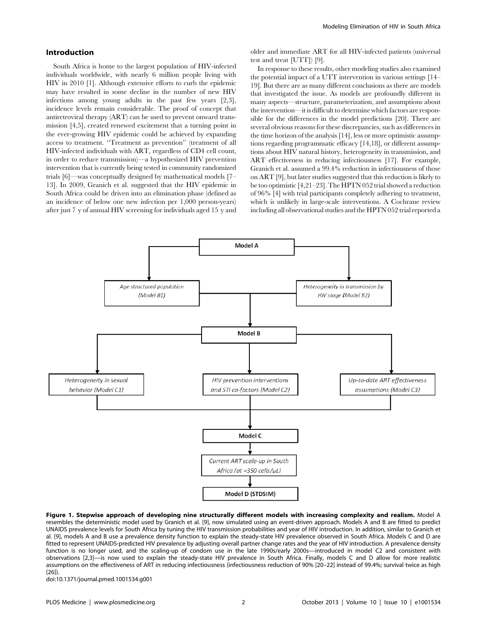#### Introduction

South Africa is home to the largest population of HIV-infected individuals worldwide, with nearly 6 million people living with HIV in 2010 [1]. Although extensive efforts to curb the epidemic may have resulted in some decline in the number of new HIV infections among young adults in the past few years [2,3], incidence levels remain considerable. The proof of concept that antiretroviral therapy (ART) can be used to prevent onward transmission [4,5], created renewed excitement that a turning point in the ever-growing HIV epidemic could be achieved by expanding access to treatment. ''Treatment as prevention'' (treatment of all HIV-infected individuals with ART, regardless of CD4 cell count, in order to reduce transmission)—a hypothesized HIV prevention intervention that is currently being tested in community randomized trials [6]—was conceptually designed by mathematical models [7– 13]. In 2009, Granich et al. suggested that the HIV epidemic in South Africa could be driven into an elimination phase (defined as an incidence of below one new infection per 1,000 person-years) after just 7 y of annual HIV screening for individuals aged 15 y and

older and immediate ART for all HIV-infected patients (universal test and treat [UTT]) [9].

In response to these results, other modeling studies also examined the potential impact of a UTT intervention in various settings [14– 19]. But there are as many different conclusions as there are models that investigated the issue. As models are profoundly different in many aspects—structure, parameterization, and assumptions about the intervention—it is difficult to determine which factors are responsible for the differences in the model predictions [20]. There are several obvious reasons for these discrepancies, such as differences in the time horizon of the analysis [14], less or more optimistic assumptions regarding programmatic efficacy [14,18], or different assumptions about HIV natural history, heterogeneity in transmission, and ART effectiveness in reducing infectiousness [17]. For example, Granich et al. assumed a 99.4% reduction in infectiousness of those on ART [9], but later studies suggested that this reduction is likely to be too optimistic [4,21–23]. The HPTN 052 trial showed a reduction of 96% [4] with trial participants completely adhering to treatment, which is unlikely in large-scale interventions. A Cochrane review including all observational studies and the HPTN 052 trial reported a



Figure 1. Stepwise approach of developing nine structurally different models with increasing complexity and realism. Model A resembles the deterministic model used by Granich et al. [9], now simulated using an event-driven approach. Models A and B are fitted to predict UNAIDS prevalence levels for South Africa by tuning the HIV transmission probabilities and year of HIV introduction. In addition, similar to Granich et al. [9], models A and B use a prevalence density function to explain the steady-state HIV prevalence observed in South Africa. Models C and D are fitted to represent UNAIDS-predicted HIV prevalence by adjusting overall partner change rates and the year of HIV introduction. A prevalence density function is no longer used, and the scaling-up of condom use in the late 1990s/early 2000s—introduced in model C2 and consistent with observations [2,3]—is now used to explain the steady-state HIV prevalence in South Africa. Finally, models C and D allow for more realistic assumptions on the effectiveness of ART in reducing infectiousness (infectiousness reduction of 90% [20–22] instead of 99.4%; survival twice as high [26]).

doi:10.1371/journal.pmed.1001534.g001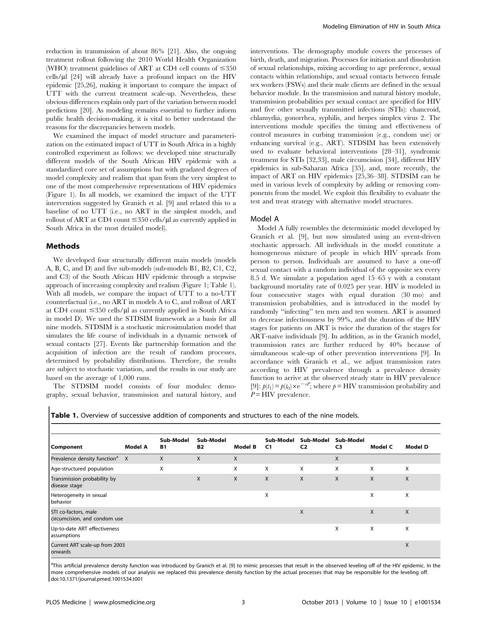reduction in transmission of about 86% [21]. Also, the ongoing treatment rollout following the 2010 World Health Organization (WHO) treatment guidelines of ART at CD4 cell counts of  $\leq 350$ cells/ $\mu$ l [24] will already have a profound impact on the HIV epidemic [25,26], making it important to compare the impact of UTT with the current treatment scale-up. Nevertheless, these obvious differences explain only part of the variation between model predictions [20]. As modeling remains essential to further inform public health decision-making, it is vital to better understand the reasons for the discrepancies between models.

We examined the impact of model structure and parameterization on the estimated impact of UTT in South Africa in a highly controlled experiment as follows: we developed nine structurally different models of the South African HIV epidemic with a standardized core set of assumptions but with gradated degrees of model complexity and realism that span from the very simplest to one of the most comprehensive representations of HIV epidemics (Figure 1). In all models, we examined the impact of the UTT intervention suggested by Granich et al. [9] and related this to a baseline of no UTT (i.e., no ART in the simplest models, and rollout of ART at CD4 count  $\leq$ 350 cells/ $\mu$ l as currently applied in South Africa in the most detailed model).

## Methods

We developed four structurally different main models (models A, B, C, and D) and five sub-models (sub-models B1, B2, C1, C2, and C3) of the South African HIV epidemic through a stepwise approach of increasing complexity and realism (Figure 1; Table 1). With all models, we compare the impact of UTT to a no-UTT counterfactual (i.e., no ART in models A to C, and rollout of ART at CD4 count  $\leq 350$  cells/ul as currently applied in South Africa in model D). We used the STDSIM framework as a basis for all nine models. STDSIM is a stochastic microsimulation model that simulates the life course of individuals in a dynamic network of sexual contacts [27]. Events like partnership formation and the acquisition of infection are the result of random processes, determined by probability distributions. Therefore, the results are subject to stochastic variation, and the results in our study are based on the average of 1,000 runs.

The STDSIM model consists of four modules: demography, sexual behavior, transmission and natural history, and interventions. The demography module covers the processes of birth, death, and migration. Processes for initiation and dissolution of sexual relationships, mixing according to age preference, sexual contacts within relationships, and sexual contacts between female sex workers (FSWs) and their male clients are defined in the sexual behavior module. In the transmission and natural history module, transmission probabilities per sexual contact are specified for HIV and five other sexually transmitted infections (STIs): chancroid, chlamydia, gonorrhea, syphilis, and herpes simplex virus 2. The interventions module specifies the timing and effectiveness of control measures in curbing transmission (e.g., condom use) or enhancing survival (e.g., ART). STDSIM has been extensively used to evaluate behavioral interventions [28–31], syndromic treatment for STIs [32,33], male circumcision [34], different HIV epidemics in sub-Saharan Africa [35], and, more recently, the impact of ART on HIV epidemics [25,36–38]. STDSIM can be used in various levels of complexity by adding or removing components from the model. We exploit this flexibility to evaluate the test and treat strategy with alternative model structures.

#### Model A

Model A fully resembles the deterministic model developed by Granich et al. [9], but now simulated using an event-driven stochastic approach. All individuals in the model constitute a homogeneous mixture of people in which HIV spreads from person to person. Individuals are assumed to have a one-off sexual contact with a random individual of the opposite sex every 8.5 d. We simulate a population aged 15–65 y with a constant background mortality rate of 0.025 per year. HIV is modeled in four consecutive stages with equal duration (30 mo) and transmission probabilities, and is introduced in the model by randomly ''infecting'' ten men and ten women. ART is assumed to decrease infectiousness by 99%, and the duration of the HIV stages for patients on ART is twice the duration of the stages for ART-naïve individuals [9]. In addition, as in the Granich model, transmission rates are further reduced by 40% because of simultaneous scale-up of other prevention interventions [9]. In accordance with Granich et al., we adjust transmission rates according to HIV prevalence through a prevalence density function to arrive at the observed steady state in HIV prevalence [9]:  $p(t_1) = p(t_0) \times e^{-xP}$ ; where  $p = HIV$  transmission probability and  $P = HIV$  prevalence.

|                                                      | Model A | Sub-Model<br><b>B1</b> | Sub-Model<br><b>B2</b> | Model B      | Sub-Model<br>C <sub>1</sub> | Sub-Model<br>C <sub>2</sub> | Sub-Model<br>C <sub>3</sub> | Model C | Model D |
|------------------------------------------------------|---------|------------------------|------------------------|--------------|-----------------------------|-----------------------------|-----------------------------|---------|---------|
| Component                                            |         |                        |                        |              |                             |                             |                             |         |         |
| Prevalence density function <sup>a</sup> X           |         | X                      | $\mathsf{X}$           | X            |                             |                             | X                           |         |         |
| Age-structured population                            |         | X                      |                        | X            | X                           | X                           | X                           | X       | X       |
| Transmission probability by<br>disease stage         |         |                        | X                      | $\mathsf{X}$ | X                           | X                           | X                           | X       | X       |
| Heterogeneity in sexual<br>behavior                  |         |                        |                        |              | X                           |                             |                             | X       | X       |
| STI co-factors, male<br>circumcision, and condom use |         |                        |                        |              |                             | X                           |                             | X       | X       |
| Up-to-date ART effectiveness<br>assumptions          |         |                        |                        |              |                             |                             | X                           | X       | X       |
| Current ART scale-up from 2003<br>onwards            |         |                        |                        |              |                             |                             |                             |         | X       |

Table 1. Overview of successive addition of components and structures to each of the nine models.

<sup>a</sup>This artificial prevalence density function was introduced by Granich et al. [9] to mimic processes that result in the observed leveling off of the HIV epidemic. In the more comprehensive models of our analysis we replaced this prevalence density function by the actual processes that may be responsible for the leveling off. doi:10.1371/journal.pmed.1001534.t001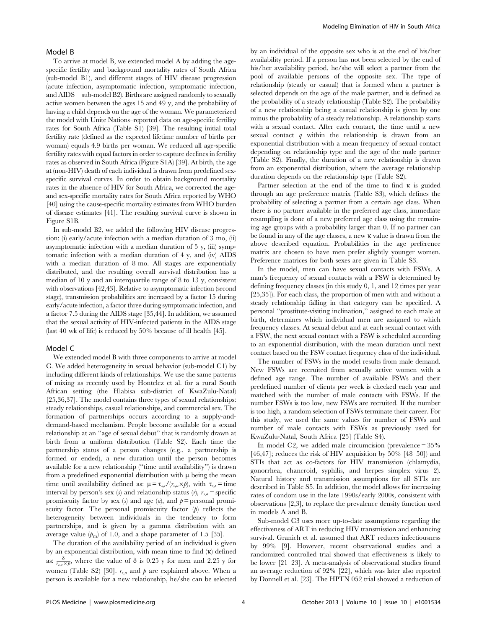## Model B

To arrive at model B, we extended model A by adding the agespecific fertility and background mortality rates of South Africa (sub-model B1), and different stages of HIV disease progression (acute infection, asymptomatic infection, symptomatic infection, and AIDS—sub-model B2). Births are assigned randomly to sexually active women between the ages 15 and 49 y, and the probability of having a child depends on the age of the woman. We parameterized the model with Unite Nations–reported data on age-specific fertility rates for South Africa (Table S1) [39]. The resulting initial total fertility rate (defined as the expected lifetime number of births per woman) equals 4.9 births per woman. We reduced all age-specific fertility rates with equal factors in order to capture declines in fertility rates as observed in South Africa (Figure S1A) [39]. At birth, the age at (non-HIV) death of each individual is drawn from predefined sexspecific survival curves. In order to obtain background mortality rates in the absence of HIV for South Africa, we corrected the ageand sex-specific mortality rates for South Africa reported by WHO [40] using the cause-specific mortality estimates from WHO burden of disease estimates [41]. The resulting survival curve is shown in Figure S1B.

In sub-model B2, we added the following HIV disease progression: (i) early/acute infection with a median duration of 3 mo, (ii) asymptomatic infection with a median duration of 5 y, (iii) symptomatic infection with a median duration of 4 y, and (iv) AIDS with a median duration of 8 mo. All stages are exponentially distributed, and the resulting overall survival distribution has a median of 10 y and an interquartile range of 8 to 13 y, consistent with observations [42,43]. Relative to asymptomatic infection (second stage), transmission probabilities are increased by a factor 15 during early/acute infection, a factor three during symptomatic infection, and a factor 7.5 during the AIDS stage [35,44]. In addition, we assumed that the sexual activity of HIV-infected patients in the AIDS stage (last 40 wk of life) is reduced by 50% because of ill health [45].

### Model C

We extended model B with three components to arrive at model C. We added heterogeneity in sexual behavior (sub-model C1) by including different kinds of relationships. We use the same patterns of mixing as recently used by Hontelez et al. for a rural South African setting (the Hlabisa sub-district of KwaZulu-Natal) [25,36,37]. The model contains three types of sexual relationships: steady relationships, casual relationships, and commercial sex. The formation of partnerships occurs according to a supply-anddemand-based mechanism. People become available for a sexual relationship at an ''age of sexual debut'' that is randomly drawn at birth from a uniform distribution (Table S2). Each time the partnership status of a person changes (e.g., a partnership is formed or ended), a new duration until the person becomes available for a new relationship (''time until availability'') is drawn from a predefined exponential distribution with  $\mu$  being the mean time until availability defined as:  $\mu = \tau_{s,r}/(r_{s,a} \times p)$ , with  $\tau_{s,r}$  = time interval by person's sex (s) and relationship status (r),  $r_{s,a}$  = specific promiscuity factor by sex (s) and age (a), and  $p =$  personal promiscuity factor. The personal promiscuity factor  $(p)$  reflects the heterogeneity between individuals in the tendency to form partnerships, and is given by a gamma distribution with an average value  $(p_m)$  of 1.0, and a shape parameter of 1.5 [35].

The duration of the availability period of an individual is given by an exponential distribution, with mean time to find (k) defined as:  $\frac{\delta}{r_{s,a} \times p}$ , where the value of  $\delta$  is 0.25 y for men and 2.25 y for women (Table S2) [30].  $r_{s,a}$  and  $p$  are explained above. When a person is available for a new relationship, he/she can be selected

by an individual of the opposite sex who is at the end of his/her availability period. If a person has not been selected by the end of his/her availability period, he/she will select a partner from the pool of available persons of the opposite sex. The type of relationship (steady or casual) that is formed when a partner is selected depends on the age of the male partner, and is defined as the probability of a steady relationship (Table S2). The probability of a new relationship being a casual relationship is given by one minus the probability of a steady relationship. A relationship starts with a sexual contact. After each contact, the time until a new sexual contact  $q$  within the relationship is drawn from an exponential distribution with a mean frequency of sexual contact depending on relationship type and the age of the male partner (Table S2). Finally, the duration of a new relationship is drawn from an exponential distribution, where the average relationship duration depends on the relationship type (Table S2).

Partner selection at the end of the time to find  $\kappa$  is guided through an age preference matrix (Table S3), which defines the probability of selecting a partner from a certain age class. When there is no partner available in the preferred age class, immediate resampling is done of a new preferred age class using the remaining age groups with a probability larger than 0. If no partner can be found in any of the age classes, a new k value is drawn from the above described equation. Probabilities in the age preference matrix are chosen to have men prefer slightly younger women. Preference matrices for both sexes are given in Table S3.

In the model, men can have sexual contacts with FSWs. A man's frequency of sexual contacts with a FSW is determined by defining frequency classes (in this study 0, 1, and 12 times per year [25,35]). For each class, the proportion of men with and without a steady relationship falling in that category can be specified. A personal ''prostitute-visiting inclination,'' assigned to each male at birth, determines which individual men are assigned to which frequency classes. At sexual debut and at each sexual contact with a FSW, the next sexual contact with a FSW is scheduled according to an exponential distribution, with the mean duration until next contact based on the FSW contact frequency class of the individual.

The number of FSWs in the model results from male demand. New FSWs are recruited from sexually active women with a defined age range. The number of available FSWs and their predefined number of clients per week is checked each year and matched with the number of male contacts with FSWs. If the number FSWs is too low, new FSWs are recruited. If the number is too high, a random selection of FSWs terminate their career. For this study, we used the same values for number of FSWs and number of male contacts with FSWs as previously used for KwaZulu-Natal, South Africa [25] (Table S4).

In model C2, we added male circumcision (prevalence = 35% [46,47]; reduces the risk of HIV acquisition by 50% [48–50]) and STIs that act as co-factors for HIV transmission (chlamydia, gonorrhea, chancroid, syphilis, and herpes simplex virus 2). Natural history and transmission assumptions for all STIs are described in Table S5. In addition, the model allows for increasing rates of condom use in the late 1990s/early 2000s, consistent with observations [2,3], to replace the prevalence density function used in models A and B.

Sub-model C3 uses more up-to-date assumptions regarding the effectiveness of ART in reducing HIV transmission and enhancing survival. Granich et al. assumed that ART reduces infectiousness by 99% [9]. However, recent observational studies and a randomized controlled trial showed that effectiveness is likely to be lower [21–23]. A meta-analysis of observational studies found an average reduction of 92% [22], which was later also reported by Donnell et al. [23]. The HPTN 052 trial showed a reduction of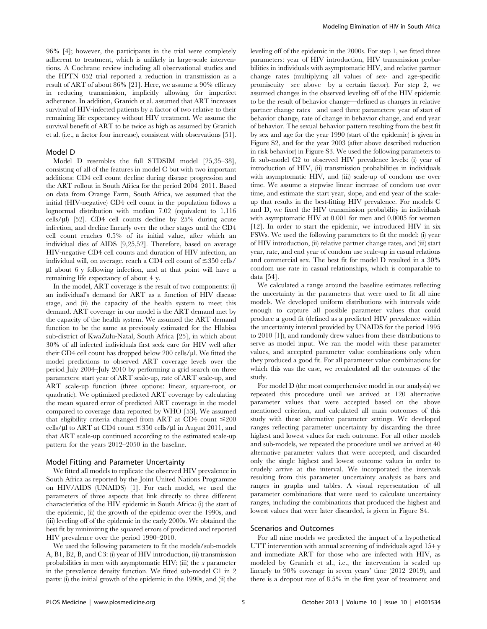96% [4]; however, the participants in the trial were completely adherent to treatment, which is unlikely in large-scale interventions. A Cochrane review including all observational studies and the HPTN 052 trial reported a reduction in transmission as a result of ART of about 86% [21]. Here, we assume a 90% efficacy in reducing transmission, implicitly allowing for imperfect adherence. In addition, Granich et al. assumed that ART increases survival of HIV-infected patients by a factor of two relative to their remaining life expectancy without HIV treatment. We assume the survival benefit of ART to be twice as high as assumed by Granich et al. (i.e., a factor four increase), consistent with observations [51].

#### Model D

Model D resembles the full STDSIM model [25,35–38], consisting of all of the features in model C but with two important additions: CD4 cell count decline during disease progression and the ART rollout in South Africa for the period 2004–2011. Based on data from Orange Farm, South Africa, we assumed that the initial (HIV-negative) CD4 cell count in the population follows a lognormal distribution with median 7.02 (equivalent to 1,116 cells/ $\mu$ l) [52]. CD4 cell counts decline by 25% during acute infection, and decline linearly over the other stages until the CD4 cell count reaches 0.5% of its initial value, after which an individual dies of AIDS [9,25,52]. Therefore, based on average HIV-negative CD4 cell counts and duration of HIV infection, an individual will, on average, reach a CD4 cell count of  $\leq$ 350 cells/ ml about 6 y following infection, and at that point will have a remaining life expectancy of about 4 y.

In the model, ART coverage is the result of two components: (i) an individual's demand for ART as a function of HIV disease stage, and (ii) the capacity of the health system to meet this demand. ART coverage in our model is the ART demand met by the capacity of the health system. We assumed the ART demand function to be the same as previously estimated for the Hlabisa sub-district of KwaZulu-Natal, South Africa [25], in which about 30% of all infected individuals first seek care for HIV well after their CD4 cell count has dropped below 200 cells/ $\mu$ l. We fitted the model predictions to observed ART coverage levels over the period July 2004–July 2010 by performing a grid search on three parameters: start year of ART scale-up, rate of ART scale-up, and ART scale-up function (three options: linear, square-root, or quadratic). We optimized predicted ART coverage by calculating the mean squared error of predicted ART coverage in the model compared to coverage data reported by WHO [53]. We assumed that eligibility criteria changed from ART at CD4 count  $\leq 200$ cells/ $\mu$ l to ART at CD4 count  $\leq$ 350 cells/ $\mu$ l in August 2011, and that ART scale-up continued according to the estimated scale-up pattern for the years 2012–2050 in the baseline.

#### Model Fitting and Parameter Uncertainty

We fitted all models to replicate the observed HIV prevalence in South Africa as reported by the Joint United Nations Programme on HIV/AIDS (UNAIDS) [1]. For each model, we used the parameters of three aspects that link directly to three different characteristics of the HIV epidemic in South Africa: (i) the start of the epidemic, (ii) the growth of the epidemic over the 1990s, and (iii) leveling off of the epidemic in the early 2000s. We obtained the best fit by minimizing the squared errors of predicted and reported HIV prevalence over the period 1990–2010.

We used the following parameters to fit the models/sub-models A, B1, B2, B, and C3: (i) year of HIV introduction, (ii) transmission probabilities in men with asymptomatic HIV; (iii) the x parameter in the prevalence density function. We fitted sub-model C1 in 2 parts: (i) the initial growth of the epidemic in the 1990s, and (ii) the

leveling off of the epidemic in the 2000s. For step 1, we fitted three parameters: year of HIV introduction, HIV transmission probabilities in individuals with asymptomatic HIV, and relative partner change rates (multiplying all values of sex- and age-specific promiscuity—see above—by a certain factor). For step 2, we assumed changes in the observed leveling off of the HIV epidemic to be the result of behavior change—defined as changes in relative partner change rates—and used three parameters: year of start of behavior change, rate of change in behavior change, and end year of behavior. The sexual behavior pattern resulting from the best fit by sex and age for the year 1990 (start of the epidemic) is given in Figure S2, and for the year 2003 (after above described reduction in risk behavior) in Figure S3. We used the following parameters to fit sub-model C2 to observed HIV prevalence levels: (i) year of introduction of HIV, (ii) transmission probabilities in individuals with asymptomatic HIV, and (iii) scale-up of condom use over time. We assume a stepwise linear increase of condom use over time, and estimate the start year, slope, and end year of the scaleup that results in the best-fitting HIV prevalence. For models C and D, we fixed the HIV transmission probability in individuals with asymptomatic HIV at 0.001 for men and 0.0005 for women [12]. In order to start the epidemic, we introduced HIV in six FSWs. We used the following parameters to fit the model: (i) year of HIV introduction, (ii) relative partner change rates, and (iii) start year, rate, and end year of condom use scale-up in casual relations and commercial sex. The best fit for model D resulted in a 30% condom use rate in casual relationships, which is comparable to data [54].

We calculated a range around the baseline estimates reflecting the uncertainty in the parameters that were used to fit all nine models. We developed uniform distributions with intervals wide enough to capture all possible parameter values that could produce a good fit (defined as a predicted HIV prevalence within the uncertainty interval provided by UNAIDS for the period 1995 to 2010 [1]), and randomly drew values from these distributions to serve as model input. We ran the model with these parameter values, and accepted parameter value combinations only when they produced a good fit. For all parameter value combinations for which this was the case, we recalculated all the outcomes of the study.

For model D (the most comprehensive model in our analysis) we repeated this procedure until we arrived at 120 alternative parameter values that were accepted based on the above mentioned criterion, and calculated all main outcomes of this study with these alternative parameter settings. We developed ranges reflecting parameter uncertainty by discarding the three highest and lowest values for each outcome. For all other models and sub-models, we repeated the procedure until we arrived at 40 alternative parameter values that were accepted, and discarded only the single highest and lowest outcome values in order to crudely arrive at the interval. We incorporated the intervals resulting from this parameter uncertainty analysis as bars and ranges in graphs and tables. A visual representation of all parameter combinations that were used to calculate uncertainty ranges, including the combinations that produced the highest and lowest values that were later discarded, is given in Figure S4.

# Scenarios and Outcomes

For all nine models we predicted the impact of a hypothetical UTT intervention with annual screening of individuals aged 15+ y and immediate ART for those who are infected with HIV, as modeled by Granich et al., i.e., the intervention is scaled up linearly to 90% coverage in seven years' time (2012–2019), and there is a dropout rate of 8.5% in the first year of treatment and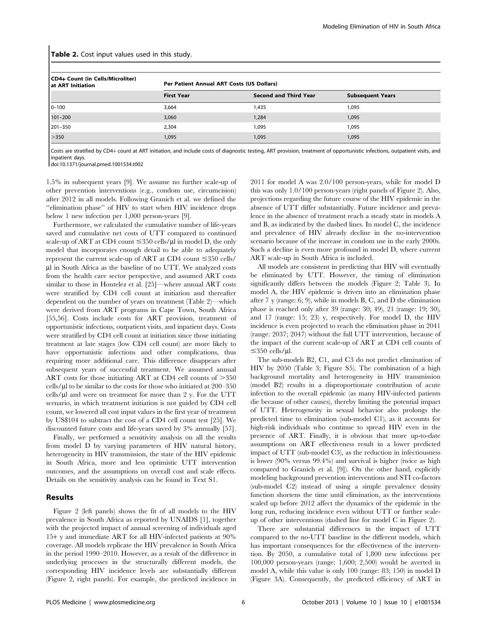| <b>Table 2.</b> Cost input values used in this study. |                                           |                              |                         |  |  |  |
|-------------------------------------------------------|-------------------------------------------|------------------------------|-------------------------|--|--|--|
| CD4+ Count (in Cells/Microliter)<br>at ART Initiation | Per Patient Annual ART Costs (US Dollars) |                              |                         |  |  |  |
|                                                       | <b>First Year</b>                         | <b>Second and Third Year</b> | <b>Subsequent Years</b> |  |  |  |
| $0 - 100$                                             | 3.664                                     | 1,435                        | 1.095                   |  |  |  |
| $101 - 200$                                           | 3.060                                     | 1.284                        | 1.095                   |  |  |  |

201–350 2,304 1,095 1,095  $>$ 350  $>$  1,095  $>$  1,095  $>$  1,095  $>$  1,095  $>$  1,095  $>$  1,095  $>$  1,095  $>$  1,095  $>$  1,095

Costs are stratified by CD4+ count at ART initiation, and include costs of diagnostic testing, ART provision, treatment of opportunistic infections, outpatient visits, and inpatient days.

doi:10.1371/journal.pmed.1001534.t002

1.5% in subsequent years [9]. We assume no further scale-up of other prevention interventions (e.g., condom use, circumcision) after 2012 in all models. Following Granich et al. we defined the ''elimination phase'' of HIV to start when HIV incidence drops below 1 new infection per 1,000 person-years [9].

Furthermore, we calculated the cumulative number of life-years saved and cumulative net costs of UTT compared to continued scale-up of ART at CD4 count  $\leq$ 350 cells/ $\mu$ l in model D, the only model that incorporates enough detail to be able to adequately represent the current scale-up of ART at CD4 count  $\leq$ 350 cells/ ml in South Africa as the baseline of no UTT. We analyzed costs from the health care sector perspective, and assumed ART costs similar to those in Hontelez et al. [25]—where annual ART costs were stratified by CD4 cell count at initiation and thereafter dependent on the number of years on treatment (Table 2)—which were derived from ART programs in Cape Town, South Africa [55,56]. Costs include costs for ART provision, treatment of opportunistic infections, outpatient visits, and inpatient days. Costs were stratified by CD4 cell count at initiation since those initiating treatment at late stages (low CD4 cell count) are more likely to have opportunistic infections and other complications, thus requiring more additional care. This difference disappears after subsequent years of successful treatment. We assumed annual ART costs for those initiating ART at CD4 cell counts of  $>350$ cells/ $\mu$ l to be similar to the costs for those who initiated at 200–350  $cells/µ$  and were on treatment for more than 2 y. For the UTT scenario, in which treatment initiation is not guided by CD4 cell count, we lowered all cost input values in the first year of treatment by US\$104 to subtract the cost of a CD4 cell count test [25]. We discounted future costs and life-years saved by 3% annually [57].

Finally, we performed a sensitivity analysis on all the results from model D by varying parameters of HIV natural history, heterogeneity in HIV transmission, the state of the HIV epidemic in South Africa, more and less optimistic UTT intervention outcomes, and the assumptions on overall cost and scale effects. Details on the sensitivity analysis can be found in Text S1.

# Results

Figure 2 (left panels) shows the fit of all models to the HIV prevalence in South Africa as reported by UNAIDS [1], together with the projected impact of annual screening of individuals aged 15+ y and immediate ART for all HIV-infected patients at 90% coverage. All models replicate the HIV prevalence in South Africa in the period 1990–2010. However, as a result of the difference in underlying processes in the structurally different models, the corresponding HIV incidence levels are substantially different (Figure 2, right panels). For example, the predicted incidence in

2011 for model A was 2.0/100 person-years, while for model D this was only 1.0/100 person-years (right panels of Figure 2). Also, projections regarding the future course of the HIV epidemic in the absence of UTT differ substantially. Future incidence and prevalence in the absence of treatment reach a steady state in models A and B, as indicated by the dashed lines. In model C, the incidence and prevalence of HIV already decline in the no-intervention scenario because of the increase in condom use in the early 2000s. Such a decline is even more profound in model D, where current ART scale-up in South Africa is included.

All models are consistent in predicting that HIV will eventually be eliminated by UTT. However, the timing of elimination significantly differs between the models (Figure 2; Table 3). In model A, the HIV epidemic is driven into an elimination phase after 7 y (range: 6; 9), while in models B, C, and D the elimination phase is reached only after 39 (range: 30; 49), 21 (range: 19; 30), and 17 (range: 15; 23) y, respectively. For model D, the HIV incidence is even projected to reach the elimination phase in 2041 (range: 2037; 2047) without the full UTT intervention, because of the impact of the current scale-up of ART at CD4 cell counts of  $\leq$ 350 cells/µl.

The sub-models B2, C1, and C3 do not predict elimination of HIV by 2050 (Table 3; Figure S5). The combination of a high background mortality and heterogeneity in HIV transmission (model B2) results in a disproportionate contribution of acute infection to the overall epidemic (as many HIV-infected patients die because of other causes), thereby limiting the potential impact of UTT. Heterogeneity in sexual behavior also prolongs the predicted time to elimination (sub-model C1), as it accounts for high-risk individuals who continue to spread HIV even in the presence of ART. Finally, it is obvious that more up-to-date assumptions on ART effectiveness result in a lower predicted impact of UTT (sub-model C3), as the reduction in infectiousness is lower (90% versus 99.4%) and survival is higher (twice as high compared to Granich et al. [9]). On the other hand, explicitly modeling background prevention interventions and STI co-factors (sub-model C2) instead of using a simple prevalence density function shortens the time until elimination, as the interventions scaled up before 2012 affect the dynamics of the epidemic in the long run, reducing incidence even without UTT or further scaleup of other interventions (dashed line for model C in Figure 2).

There are substantial differences in the impact of UTT compared to the no-UTT baseline in the different models, which has important consequences for the effectiveness of the intervention. By 2050, a cumulative total of 1,800 new infections per 100,000 person-years (range: 1,600; 2,500) would be averted in model A, while this value is only 100 (range: 83; 150) in model D (Figure 3A). Consequently, the predicted efficiency of ART in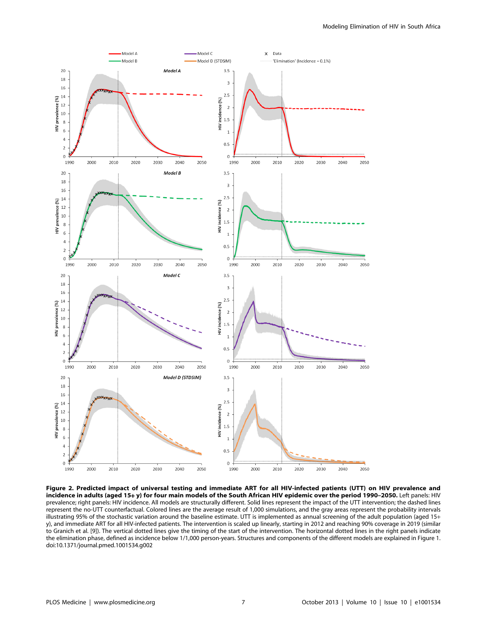

Figure 2. Predicted impact of universal testing and immediate ART for all HIV-infected patients (UTT) on HIV prevalence and incidence in adults (aged 15+ y) for four main models of the South African HIV epidemic over the period 1990-2050. Left panels: HIV prevalence; right panels: HIV incidence. All models are structurally different. Solid lines represent the impact of the UTT intervention; the dashed lines represent the no-UTT counterfactual. Colored lines are the average result of 1,000 simulations, and the gray areas represent the probability intervals illustrating 95% of the stochastic variation around the baseline estimate. UTT is implemented as annual screening of the adult population (aged 15+ y), and immediate ART for all HIV-infected patients. The intervention is scaled up linearly, starting in 2012 and reaching 90% coverage in 2019 (similar to Granich et al. [9]). The vertical dotted lines give the timing of the start of the intervention. The horizontal dotted lines in the right panels indicate the elimination phase, defined as incidence below 1/1,000 person-years. Structures and components of the different models are explained in Figure 1. doi:10.1371/journal.pmed.1001534.g002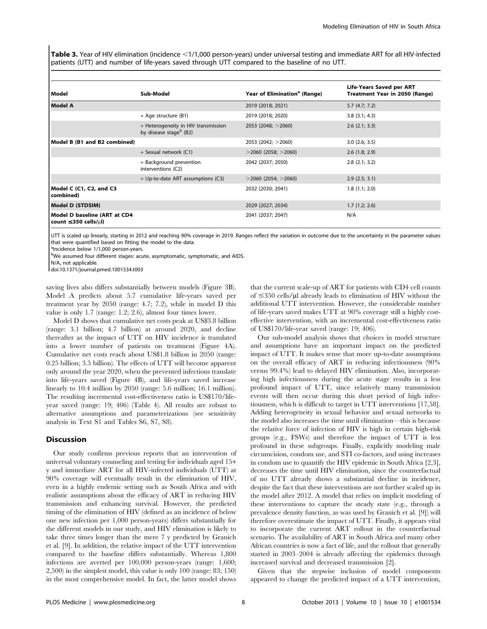Table 3. Year of HIV elimination (incidence <1/1,000 person-years) under universal testing and immediate ART for all HIV-infected patients (UTT) and number of life-years saved through UTT compared to the baseline of no UTT.

| l Model                                                          | Sub-Model                                                                 | Year of Elimination <sup>a</sup> (Range) | Life-Years Saved per ART<br>Treatment Year in 2050 (Range) |
|------------------------------------------------------------------|---------------------------------------------------------------------------|------------------------------------------|------------------------------------------------------------|
| l Model A                                                        |                                                                           | 2019 (2018; 2021)                        | 5.7(4.7; 7.2)                                              |
|                                                                  | + Age structure (B1)                                                      | 2019 (2018; 2020)                        | 3.8(3.1; 4.3)                                              |
|                                                                  | + Heterogeneity in HIV transmission<br>by disease stage <sup>b</sup> (B2) | 2053 (2048; $>$ 2060)                    | $2.6$ (2.1; 3.3)                                           |
| Model B (B1 and B2 combined)                                     |                                                                           | 2053 (2042; $>$ 2060)                    | $3.0$ (2.6; 3.5)                                           |
|                                                                  | + Sexual network (C1)                                                     | $>$ 2060 (2058; $>$ 2060)                | $2.6$ (1.8; 2.9)                                           |
|                                                                  | + Background prevention<br>interventions (C2)                             | 2042 (2037; 2050)                        | 2.8(2.1; 3.2)                                              |
|                                                                  | + Up-to-date ART assumptions (C3)                                         | $>$ 2060 (2054; $>$ 2060)                | 2.9(2.5; 3.1)                                              |
| Model C (C1, C2, and C3<br>combined)                             |                                                                           | 2032 (2030; 2041)                        | 1.8(1.1; 2.0)                                              |
| Model D (STDSIM)                                                 |                                                                           | 2029 (2027; 2034)                        | 1.7(1.2; 2.6)                                              |
| Model D baseline (ART at CD4<br>count $\leq$ 350 cells/ $\mu$ l) |                                                                           | 2041 (2037; 2047)                        | N/A                                                        |

UTT is scaled up linearly, starting in 2012 and reaching 90% coverage in 2019. Ranges reflect the variation in outcome due to the uncertainty in the parameter values that were quantified based on fitting the model to the data.

alncidence below 1/1,000 person-years.

bWe assumed four different stages: acute, asymptomatic, symptomatic, and AIDS.

N/A, not applicable.

doi:10.1371/journal.pmed.1001534.t003

saving lives also differs substantially between models (Figure 3B). Model A predicts about 5.7 cumulative life-years saved per treatment year by 2050 (range: 4.7; 7.2), while in model D this value is only 1.7 (range: 1.2; 2.6), almost four times lower.

Model D shows that cumulative net costs peak at US\$3.8 billion (range: 3.1 billion; 4.7 billion) at around 2020, and decline thereafter as the impact of UTT on HIV incidence is translated into a lower number of patients on treatment (Figure 4A). Cumulative net costs reach about US\$1.8 billion in 2050 (range: 0.25 billion; 3.5 billion). The effects of UTT will become apparent only around the year 2020, when the prevented infections translate into life-years saved (Figure 4B), and life-years saved increase linearly to 10.4 million by 2050 (range: 5.6 million; 16.1 million). The resulting incremental cost-effectiveness ratio is US\$170/lifeyear saved (range: 19; 406) (Table 4). All results are robust to alternative assumptions and parameterizations (see sensitivity analysis in Text S1 and Tables S6, S7, S8).

# **Discussion**

Our study confirms previous reports that an intervention of universal voluntary counseling and testing for individuals aged 15+ y and immediate ART for all HIV-infected individuals (UTT) at 90% coverage will eventually result in the elimination of HIV, even in a highly endemic setting such as South Africa and with realistic assumptions about the efficacy of ART in reducing HIV transmission and enhancing survival. However, the predicted timing of the elimination of HIV (defined as an incidence of below one new infection per 1,000 person-years) differs substantially for the different models in our study, and HIV elimination is likely to take three times longer than the mere 7 y predicted by Granich et al. [9]. In addition, the relative impact of the UTT intervention compared to the baseline differs substantially. Whereas 1,800 infections are averted per 100,000 person-years (range: 1,600; 2,500) in the simplest model, this value is only 100 (range: 83; 150) in the most comprehensive model. In fact, the latter model shows

that the current scale-up of ART for patients with CD4 cell counts of  $\leq$ 350 cells/ $\mu$ l already leads to elimination of HIV without the additional UTT intervention. However, the considerable number of life-years saved makes UTT at 90% coverage still a highly costeffective intervention, with an incremental cost-effectiveness ratio of US\$170/life-year saved (range: 19; 406).

Our sub-model analysis shows that choices in model structure and assumptions have an important impact on the predicted impact of UTT. It makes sense that more up-to-date assumptions on the overall efficacy of ART in reducing infectiousness (90% versus 99.4%) lead to delayed HIV elimination. Also, incorporating high infectiousness during the acute stage results in a less profound impact of UTT, since relatively many transmission events will then occur during this short period of high infectiousness, which is difficult to target in UTT interventions [17,58]. Adding heterogeneity in sexual behavior and sexual networks to the model also increases the time until elimination—this is because the relative force of infection of HIV is high in certain high-risk groups (e.g., FSWs) and therefore the impact of UTT is less profound in these subgroups. Finally, explicitly modeling male circumcision, condom use, and STI co-factors, and using increases in condom use to quantify the HIV epidemic in South Africa [2,3], decreases the time until HIV elimination, since the counterfactual of no UTT already shows a substantial decline in incidence, despite the fact that these interventions are not further scaled up in the model after 2012. A model that relies on implicit modeling of these interventions to capture the steady state (e.g., through a prevalence density function, as was used by Granich et al. [9]) will therefore overestimate the impact of UTT. Finally, it appears vital to incorporate the current ART rollout in the counterfactual scenario. The availability of ART in South Africa and many other African countries is now a fact of life, and the rollout that generally started in 2003–2004 is already affecting the epidemics through increased survival and decreased transmission [2].

Given that the stepwise inclusion of model components appeared to change the predicted impact of a UTT intervention,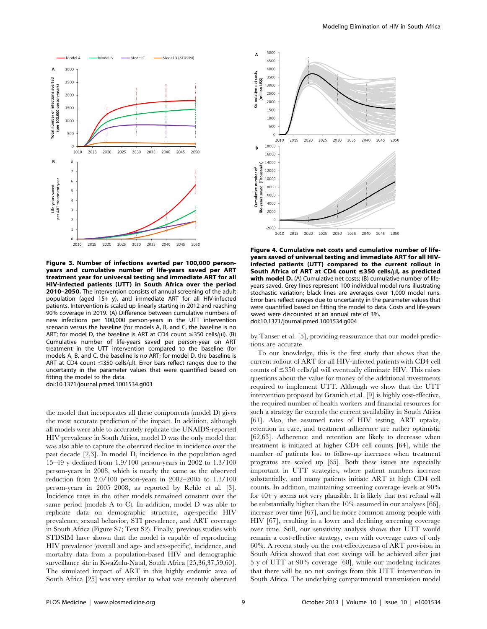

Figure 3. Number of infections averted per 100,000 personyears and cumulative number of life-years saved per ART treatment year for universal testing and immediate ART for all HIV-infected patients (UTT) in South Africa over the period 2010–2050. The intervention consists of annual screening of the adult population (aged 15+ y), and immediate ART for all HIV-infected patients. Intervention is scaled up linearly starting in 2012 and reaching 90% coverage in 2019. (A) Difference between cumulative numbers of new infections per 100,000 person-years in the UTT intervention scenario versus the baseline (for models A, B, and C, the baseline is no ART; for model D, the baseline is ART at CD4 count  $\leq$ 350 cells/ $\mu$ l). (B) Cumulative number of life-years saved per person-year on ART treatment in the UTT intervention compared to the baseline (for models A, B, and C, the baseline is no ART; for model D, the baseline is ART at CD4 count  $\leq$ 350 cells/ul). Error bars reflect ranges due to the uncertainty in the parameter values that were quantified based on fitting the model to the data.

doi:10.1371/journal.pmed.1001534.g003

the model that incorporates all these components (model D) gives the most accurate prediction of the impact. In addition, although all models were able to accurately replicate the UNAIDS-reported HIV prevalence in South Africa, model D was the only model that was also able to capture the observed decline in incidence over the past decade [2,3]. In model D, incidence in the population aged 15–49 y declined from 1.9/100 person-years in 2002 to 1.3/100 person-years in 2008, which is nearly the same as the observed reduction from 2.0/100 person-years in 2002–2005 to 1.3/100 person-years in 2005–2008, as reported by Rehle et al. [3]. Incidence rates in the other models remained constant over the same period (models A to C). In addition, model D was able to replicate data on demographic structure, age-specific HIV prevalence, sexual behavior, STI prevalence, and ART coverage in South Africa (Figure S7; Text S2). Finally, previous studies with STDSIM have shown that the model is capable of reproducing HIV prevalence (overall and age- and sex-specific), incidence, and mortality data from a population-based HIV and demographic surveillance site in KwaZulu-Natal, South Africa [25,36,37,59,60]. The simulated impact of ART in this highly endemic area of South Africa [25] was very similar to what was recently observed



Figure 4. Cumulative net costs and cumulative number of lifeyears saved of universal testing and immediate ART for all HIVinfected patients (UTT) compared to the current rollout in South Africa of ART at CD4 count  $\leq$ 350 cells/ $\mu$ l, as predicted with model D. (A) Cumulative net costs; (B) cumulative number of lifeyears saved. Grey lines represent 100 individual model runs illustrating stochastic variation; black lines are averages over 1,000 model runs. Error bars reflect ranges due to uncertainty in the parameter values that were quantified based on fitting the model to data. Costs and life-years saved were discounted at an annual rate of 3%. doi:10.1371/journal.pmed.1001534.g004

by Tanser et al. [5], providing reassurance that our model predictions are accurate.

To our knowledge, this is the first study that shows that the current rollout of ART for all HIV-infected patients with CD4 cell counts of  $\leq$ 350 cells/ $\mu$ l will eventually eliminate HIV. This raises questions about the value for money of the additional investments required to implement UTT. Although we show that the UTT intervention proposed by Granich et al. [9] is highly cost-effective, the required number of health workers and financial resources for such a strategy far exceeds the current availability in South Africa [61]. Also, the assumed rates of HIV testing, ART uptake, retention in care, and treatment adherence are rather optimistic [62,63]. Adherence and retention are likely to decrease when treatment is initiated at higher CD4 cell counts [64], while the number of patients lost to follow-up increases when treatment programs are scaled up [65]. Both these issues are especially important in UTT strategies, where patient numbers increase substantially, and many patients initiate ART at high CD4 cell counts. In addition, maintaining screening coverage levels at 90% for 40+ y seems not very plausible. It is likely that test refusal will be substantially higher than the 10% assumed in our analyses [66], increase over time [67], and be more common among people with HIV [67], resulting in a lower and declining screening coverage over time. Still, our sensitivity analysis shows that UTT would remain a cost-effective strategy, even with coverage rates of only 60%. A recent study on the cost-effectiveness of ART provision in South Africa showed that cost savings will be achieved after just 5 y of UTT at 90% coverage [68], while our modeling indicates that there will be no net savings from this UTT intervention in South Africa. The underlying compartmental transmission model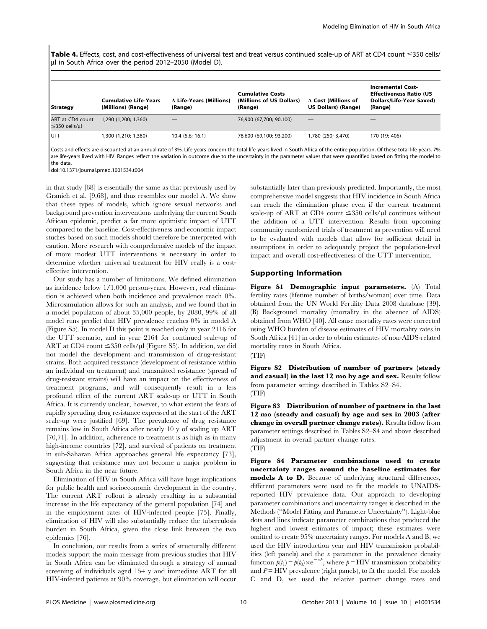Table 4. Effects, cost, and cost-effectiveness of universal test and treat versus continued scale-up of ART at CD4 count  $\leq$ 350 cells/ ul in South Africa over the period 2012–2050 (Model D).

| <b>Strategy</b>                               | <b>Cumulative Life-Years</b><br>(Millions) (Range) | $\Delta$ Life-Years (Millions)<br>(Range) | <b>Cumulative Costs</b><br>(Millions of US Dollars)<br>(Range) | $\Delta$ Cost (Millions of<br>US Dollars) (Range) | <b>Incremental Cost-</b><br><b>Effectiveness Ratio (US</b><br>Dollars/Life-Year Saved)<br>(Range) |
|-----------------------------------------------|----------------------------------------------------|-------------------------------------------|----------------------------------------------------------------|---------------------------------------------------|---------------------------------------------------------------------------------------------------|
| ART at CD4 count<br>$\leq$ 350 cells/ $\mu$ l | 1,290 (1,200; 1,360)                               |                                           | 76,900 (67,700; 90,100)                                        |                                                   |                                                                                                   |
| UΠ                                            | 1,300 (1,210; 1,380)                               | $10.4$ (5.6; 16.1)                        | 78,600 (69,100; 93,200)                                        | 1,780 (250; 3,470)                                | 170 (19; 406)                                                                                     |
|                                               |                                                    |                                           |                                                                |                                                   |                                                                                                   |

Costs and effects are discounted at an annual rate of 3%. Life-years concern the total life-years lived in South Africa of the entire population. Of these total life-years, 7% are life-years lived with HIV. Ranges reflect the variation in outcome due to the uncertainty in the parameter values that were quantified based on fitting the model to the data.

doi:10.1371/journal.pmed.1001534.t004

in that study [68] is essentially the same as that previously used by Granich et al. [9,68], and thus resembles our model A. We show that these types of models, which ignore sexual networks and background prevention interventions underlying the current South African epidemic, predict a far more optimistic impact of UTT compared to the baseline. Cost-effectiveness and economic impact studies based on such models should therefore be interpreted with caution. More research with comprehensive models of the impact of more modest UTT interventions is necessary in order to determine whether universal treatment for HIV really is a costeffective intervention.

Our study has a number of limitations. We defined elimination as incidence below 1/1,000 person-years. However, real elimination is achieved when both incidence and prevalence reach 0%. Microsimulation allows for such an analysis, and we found that in a model population of about 35,000 people, by 2080, 99% of all model runs predict that HIV prevalence reaches 0% in model A (Figure S5). In model D this point is reached only in year 2116 for the UTT scenario, and in year 2164 for continued scale-up of ART at CD4 count  $\leq$ 350 cells/ $\mu$ l (Figure S5). In addition, we did not model the development and transmission of drug-resistant strains. Both acquired resistance (development of resistance within an individual on treatment) and transmitted resistance (spread of drug-resistant strains) will have an impact on the effectiveness of treatment programs, and will consequently result in a less profound effect of the current ART scale-up or UTT in South Africa. It is currently unclear, however, to what extent the fears of rapidly spreading drug resistance expressed at the start of the ART scale-up were justified [69]. The prevalence of drug resistance remains low in South Africa after nearly 10 y of scaling up ART [70,71]. In addition, adherence to treatment is as high as in many high-income countries [72], and survival of patients on treatment in sub-Saharan Africa approaches general life expectancy [73], suggesting that resistance may not become a major problem in South Africa in the near future.

Elimination of HIV in South Africa will have huge implications for public health and socioeconomic development in the country. The current ART rollout is already resulting in a substantial increase in the life expectancy of the general population [74] and in the employment rates of HIV-infected people [75]. Finally, elimination of HIV will also substantially reduce the tuberculosis burden in South Africa, given the close link between the two epidemics [76].

In conclusion, our results from a series of structurally different models support the main message from previous studies that HIV in South Africa can be eliminated through a strategy of annual screening of individuals aged 15+ y and immediate ART for all HIV-infected patients at 90% coverage, but elimination will occur substantially later than previously predicted. Importantly, the most comprehensive model suggests that HIV incidence in South Africa can reach the elimination phase even if the current treatment scale-up of ART at CD4 count  $\leq$ 350 cells/ $\mu$ l continues without the addition of a UTT intervention. Results from upcoming community randomized trials of treatment as prevention will need to be evaluated with models that allow for sufficient detail in assumptions in order to adequately project the population-level impact and overall cost-effectiveness of the UTT intervention.

# Supporting Information

Figure S1 Demographic input parameters. (A) Total fertility rates (lifetime number of births/woman) over time. Data obtained from the UN World Fertility Data 2008 database [39]. (B) Background mortality (mortality in the absence of AIDS) obtained from WHO [40]. All cause mortality rates were corrected using WHO burden of disease estimates of HIV mortality rates in South Africa [41] in order to obtain estimates of non-AIDS-related mortality rates in South Africa.

(TIF)

Figure S2 Distribution of number of partners (steady and casual) in the last 12 mo by age and sex. Results follow from parameter settings described in Tables S2–S4. (TIF)

Figure S3 Distribution of number of partners in the last 12 mo (steady and casual) by age and sex in 2003 (after change in overall partner change rates). Results follow from parameter settings described in Tables S2–S4 and above described adjustment in overall partner change rates. (TIF)

Figure S4 Parameter combinations used to create uncertainty ranges around the baseline estimates for models A to D. Because of underlying structural differences, different parameters were used to fit the models to UNAIDSreported HIV prevalence data. Our approach to developing parameter combinations and uncertainty ranges is described in the Methods (''Model Fitting and Parameter Uncertainty''). Light-blue dots and lines indicate parameter combinations that produced the highest and lowest estimates of impact; these estimates were omitted to create 95% uncertainty ranges. For models A and B, we used the HIV introduction year and HIV transmission probabilities (left panels) and the x parameter in the prevalence density function  $p(t_1) = p(t_0) \times e^{-xP}$ , where  $p = HIV$  transmission probability and  $P = HIV$  prevalence (right panels), to fit the model. For models C and D, we used the relative partner change rates and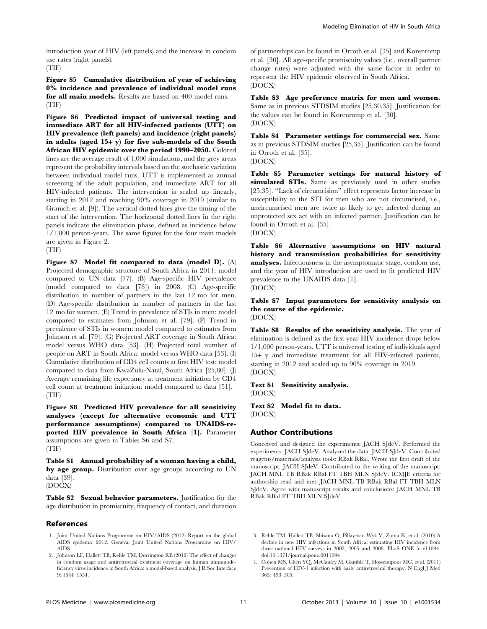introduction year of HIV (left panels) and the increase in condom use rates (right panels). (TIF)

Figure S5 Cumulative distribution of year of achieving 0% incidence and prevalence of individual model runs for all main models. Results are based on 400 model runs. (TIF)

Figure S6 Predicted impact of universal testing and immediate ART for all HIV-infected patients (UTT) on HIV prevalence (left panels) and incidence (right panels) in adults (aged 15+ y) for five sub-models of the South African HIV epidemic over the period 1990–2050. Colored lines are the average result of 1,000 simulations, and the grey areas represent the probability intervals based on the stochastic variation between individual model runs. UTT is implemented as annual screening of the adult population, and immediate ART for all HIV-infected patients. The intervention is scaled up linearly, starting in 2012 and reaching 90% coverage in 2019 (similar to Granich et al. [9]). The vertical dotted lines give the timing of the start of the intervention. The horizontal dotted lines in the right panels indicate the elimination phase, defined as incidence below 1/1,000 person-years. The same figures for the four main models are given in Figure 2.

(TIF)

Figure S7 Model fit compared to data (model D). (A) Projected demographic structure of South Africa in 2011: model compared to UN data [77]. (B) Age-specific HIV prevalence (model compared to data [78]) in 2008. (C) Age-specific distribution in number of partners in the last 12 mo for men. (D) Age-specific distribution in number of partners in the last 12 mo for women. (E) Trend in prevalence of STIs in men: model compared to estimates from Johnson et al. [79]. (F) Trend in prevalence of STIs in women: model compared to estimates from Johnson et al. [79]. (G) Projected ART coverage in South Africa: model versus WHO data [53]. (H) Projected total number of people on ART in South Africa: model versus WHO data [53]. (I) Cumulative distribution of CD4 cell counts at first HIV test: model compared to data from KwaZulu-Natal, South Africa [25,80]. (J) Average remaining life expectancy at treatment initiation by CD4 cell count at treatment initiation: model compared to data [51]. (TIF)

Figure S8 Predicted HIV prevalence for all sensitivity analyses (except for alternative economic and UTT performance assumptions) compared to UNAIDS-reported HIV prevalence in South Africa [1]. Parameter assumptions are given in Tables S6 and S7. (TIF)

Table S1 Annual probability of a woman having a child, by age group. Distribution over age groups according to UN data [39]. (DOCX)

Table S2 Sexual behavior parameters. Justification for the age distribution in promiscuity, frequency of contact, and duration

# References

- 1. Joint United Nations Programme on HIV/AIDS (2012) Report on the global AIDS epidemic 2012. Geneva: Joint United Nations Programme on HIV/ AIDS.
- 2. Johnson LF, Hallett TB, Rehle TM, Dorrington RE (2012) The effect of changes in condom usage and antiretroviral treatment coverage on human immunodeficiency virus incidence in South Africa: a model-based analysis. J R Soc Interface 9: 1544–1554.

of partnerships can be found in Orroth et al. [35] and Korenromp et al. [30]. All age-specific promiscuity values (i.e., overall partner change rates) were adjusted with the same factor in order to represent the HIV epidemic observed in South Africa. (DOCX)

Table S3 Age preference matrix for men and women. Same as in previous STDSIM studies [25,30,35]. Justification for the values can be found in Korenromp et al. [30]. (DOCX)

Table S4 Parameter settings for commercial sex. Same as in previous STDSIM studies [25,35]. Justification can be found in Orroth et al. [35].

(DOCX)

Table S5 Parameter settings for natural history of simulated STIs. Same as previously used in other studies [25,35]. ''Lack of circumcision'' effect represents factor increase in susceptibility to the STI for men who are not circumcised, i.e., uncircumcised men are twice as likely to get infected during an unprotected sex act with an infected partner. Justification can be found in Orroth et al. [35]. (DOCX)

Table S6 Alternative assumptions on HIV natural history and transmission probabilities for sensitivity analyses. Infectiousness in the asymptomatic stage, condom use, and the year of HIV introduction are used to fit predicted HIV prevalence to the UNAIDS data [1]. (DOCX)

Table S7 Input parameters for sensitivity analysis on the course of the epidemic. (DOCX)

Table S8 Results of the sensitivity analysis. The year of elimination is defined as the first year HIV incidence drops below 1/1,000 person-years. UTT is universal testing of individuals aged 15+ y and immediate treatment for all HIV-infected patients, starting in 2012 and scaled up to 90% coverage in 2019. (DOCX)

Text S1 Sensitivity analysis. (DOCX)

Text S2 Model fit to data. (DOCX)

# Author Contributions

Conceived and designed the experiments: JACH SJdeV. Performed the experiments: JACH SJdeV. Analyzed the data: JACH SJdeV. Contributed reagents/materials/analysis tools: RBak RBal. Wrote the first draft of the manuscript: JACH SJdeV. Contributed to the writing of the manuscript: JACH MNL TB RBak RBal FT TBH MLN SJdeV. ICMJE criteria for authorship read and met: JACH MNL TB RBak RBal FT TBH MLN SJdeV. Agree with manuscript results and conclusions: JACH MNL TB RBak RBal FT TBH MLN SJdeV.

- 3. Rehle TM, Hallett TB, Shisana O, Pillay-van Wyk V, Zuma K, et al. (2010) A decline in new HIV infections in South Africa: estimating HIV incidence from three national HIV surveys in 2002, 2005 and 2008. PLoS ONE 5: e11094. doi:10.1371/journal.pone.0011094
- 4. Cohen MS, Chen YQ, McCauley M, Gamble T, Hosseinipour MC, et al. (2011) Prevention of HIV-1 infection with early antiretroviral therapy. N Engl J Med 365: 493–505.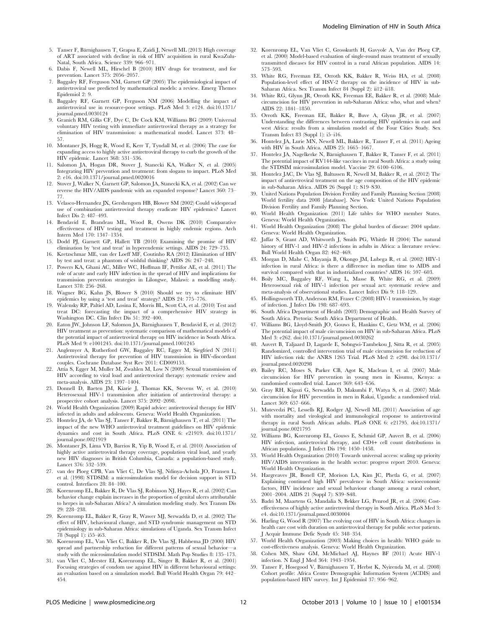- 5. Tanser F, Bärnighausen T, Grapsa E, Zaidi J, Newell ML (2013) High coverage of ART associated with decline in risk of HIV acquisition in rural KwaZulu-Natal, South Africa. Science 339: 966–971.
- 6. Dabis F, Newell ML, Hirschel B (2010) HIV drugs for treatment, and for prevention. Lancet 375: 2056–2057.
- 7. Baggaley RF, Ferguson NM, Garnett GP (2005) The epidemiological impact of antiretroviral use predicted by mathematical models: a review. Emerg Themes Epidemiol 2: 9.
- 8. Baggaley RF, Garnett GP, Ferguson NM (2006) Modelling the impact of antiretroviral use in resource-poor settings. PLoS Med 3: e124. doi:10.1371/ journal.pmed.0030124
- 9. Granich RM, Gilks CF, Dye C, De Cock KM, Williams BG (2009) Universal voluntary HIV testing with immediate antiretroviral therapy as a strategy for elimination of HIV transmission: a mathematical model. Lancet 373: 48– 57.
- 10. Montaner JS, Hogg R, Wood E, Kerr T, Tyndall M, et al. (2006) The case for expanding access to highly active antiretroviral therapy to curb the growth of the HIV epidemic. Lancet 368: 531–536.
- 11. Salomon JA, Hogan DR, Stover J, Stanecki KA, Walker N, et al. (2005) Integrating HIV prevention and treatment: from slogans to impact. PLoS Med 2: e16. doi:10.1371/journal.pmed.0020016
- 12. Stover J, Walker N, Garnett GP, Salomon JA, Stanecki KA, et al. (2002) Can we reverse the HIV/AIDS pandemic with an expanded response? Lancet 360: 73– 77.
- 13. Velasco-Hernandez JX, Gershengorn HB, Blower SM (2002) Could widespread use of combination antiretroviral therapy eradicate HIV epidemics? Lancet Infect Dis 2: 487–493.
- 14. Bendavid E, Brandeau ML, Wood R, Owens DK (2010) Comparative effectiveness of HIV testing and treatment in highly endemic regions. Arch Intern Med 170: 1347–1354.
- 15. Dodd PJ, Garnett GP, Hallett TB (2010) Examining the promise of HIV elimination by 'test and treat' in hyperendemic settings. AIDS 24: 729–735.
- 16. Kretzschmar ME, van der Loeff MF, Coutinho RA (2012) Elimination of HIV by test and treat: a phantom of wishful thinking? AIDS 26: 247–248.
- 17. Powers KA, Ghani AC, Miller WC, Hoffman IF, Pettifor AE, et al. (2011) The role of acute and early HIV infection in the spread of HIV and implications for transmission prevention strategies in Lilongwe, Malawi: a modelling study. Lancet 378: 256–268.
- 18. Wagner BG, Kahn JS, Blower S (2010) Should we try to eliminate HIV epidemics by using a 'test and treat' strategy? AIDS 24: 775–776.
- 19. Walensky RP, Paltiel AD, Losina E, Morris BL, Scott CA, et al. (2010) Test and treat DC: forecasting the impact of a comprehensive HIV strategy in Washington DC. Clin Infect Dis 51: 392–400.
- 20. Eaton JW, Johnson LF, Salomon JA, Bärnighausen T, Bendavid E, et al. (2012) HIV treatment as prevention: systematic comparison of mathematical models of the potential impact of antiretroviral therapy on HIV incidence in South Africa. PLoS Med 9: e1001245. doi:10.1371/journal.pmed.1001245
- 21. Anglemyer A, Rutherford GW, Baggaley RC, Egger M, Siegfried N (2011) Antiretroviral therapy for prevention of HIV transmission in HIV-discordant couples. Cochrane Database Syst Rev 2011: CD009153.
- 22. Attia S, Egger M, Muller M, Zwahlen M, Low N (2009) Sexual transmission of HIV according to viral load and antiretroviral therapy: systematic review and meta-analysis. AIDS 23: 1397–1404.
- 23. Donnell D, Baeten JM, Kiarie J, Thomas KK, Stevens W, et al. (2010) Heterosexual HIV-1 transmission after initiation of antiretroviral therapy: a prospective cohort analysis. Lancet 375: 2092–2098.
- 24. World Health Organization (2009) Rapid advice: antiretroviral therapy for HIV infected in adults and adolescents. Geneva: World Health Organization.
- 25. Hontelez JA, de Vlas SJ, Tanser F, Bakker R, Bärnighausen T, et al. (2011) The impact of the new WHO antiretroviral treatment guidelines on HIV epidemic dynamics and cost in South Africa. PLoS ONE 6: e21919. doi:10.1371/ journal.pone.0021919
- 26. Montaner JS, Lima VD, Barrios R, Yip B, Wood E, et al. (2010) Association of highly active antiretroviral therapy coverage, population viral load, and yearly new HIV diagnoses in British Columbia, Canada: a population-based study. Lancet 376: 532–539.
- 27. van der Ploeg CPB, Van Vliet C, De Vlas SJ, Ndinya-Achola JO, Fransen L, et al. (1998) STDSIM: a microsimulation model for decision support in STD control. Interfaces 28: 84–100.
- 28. Korenromp EL, Bakker R, De Vlas SJ, Robinson NJ, Hayes R, et al. (2002) Can behavior change explain increases in the proportion of genital ulcers attributable to herpes in sub-Saharan Africa? A simulation modeling study. Sex Transm Dis 29: 228–238.
- 29. Korenromp EL, Bakker R, Gray R, Wawer MJ, Serwadda D, et al. (2002) The effect of HIV, behavioural change, and STD syndromic management on STD epidemiology in sub-Saharan Africa: simulations of Uganda. Sex Transm Infect 78 (Suppl 1): i55–i63.
- 30. Korenromp EL, Van Vliet C, Bakker R, De Vlas SJ, Habbema JD (2000) HIV spread and partnership reduction for different patterns of sexual behavior—a study with the microsimulation model STDSIM. Math Pop Studies 8: 135–173.
- 31. van Vliet C, Meester EI, Korenromp EL, Singer B, Bakker R, et al. (2001) Focusing strategies of condom use against HIV in different behavioural settings: an evaluation based on a simulation model. Bull World Health Organ 79: 442– 454.
- 32. Korenromp EL, Van Vliet C, Grosskurth H, Gavyole A, Van der Ploeg CP, et al. (2000) Model-based evaluation of single-round mass treatment of sexually transmitted diseases for HIV control in a rural African population. AIDS 14: 573–593.
- 33. White RG, Freeman EE, Orroth KK, Bakker R, Weiss HA, et al. (2008) Population-level effect of HSV-2 therapy on the incidence of HIV in sub-Saharan Africa. Sex Transm Infect 84 (Suppl 2): ii12–ii18.
- 34. White RG, Glynn JR, Orroth KK, Freeman EE, Bakker R, et al. (2008) Male circumcision for HIV prevention in sub-Saharan Africa: who, what and when? AIDS 22: 1841–1850.
- 35. Orroth KK, Freeman EE, Bakker R, Buve A, Glynn JR, et al. (2007) Understanding the differences between contrasting HIV epidemics in east and west Africa: results from a simulation model of the Four Cities Study. Sex Transm Infect 83 (Suppl 1): i5–i16.
- 36. Hontelez JA, Lurie MN, Newell ML, Bakker R, Tanser F, et al. (2011) Ageing with HIV in South Africa. AIDS 25: 1665–1667.
- 37. Hontelez JA, Nagelkerke N, Bärnighausen T, Bakker R, Tanser F, et al. (2011) The potential impact of RV144-like vaccines in rural South Africa: a study using the STDSIM microsimulation model. Vaccine 29: 6100–6106.
- 38. Hontelez JAC, De Vlas SJ, Baltussen R, Newell M, Bakker R, et al. (2012) The impact of antiretroviral treatment on the age composition of the HIV epidemic in sub-Saharan Africa. AIDS 26 (Suppl 1): S19–S30.
- 39. United Nations Population Division Fertility and Family Planning Section (2008) World fertility data 2008 [database]. New York: United Nations Population Division Fertility and Family Planning Section.
- 40. World Health Organization (2011) Life tables for WHO member States. Geneva: World Health Organization.
- 41. World Health Organization (2008) The global burden of disease: 2004 update. Geneva: World Health Organization.
- 42. Jaffar S, Grant AD, Whitworth J, Smith PG, Whittle H (2004) The natural history of HIV-1 and HIV-2 infections in adults in Africa: a literature review. Bull World Health Organ 82: 462–469.
- 43. Morgan D, Mahe C, Mayanja B, Okongo JM, Lubega R, et al. (2002) HIV-1 infection in rural Africa: is there a difference in median time to AIDS and survival compared with that in industrialized countries? AIDS 16: 597–603.
- 44. Boily MC, Baggaley RF, Wang L, Masse B, White RG, et al. (2009) Heterosexual risk of HIV-1 infection per sexual act: systematic review and meta-analysis of observational studies. Lancet Infect Dis 9: 118–129.
- 45. Hollingsworth TD, Anderson RM, Fraser C (2008) HIV-1 transmission, by stage of infection. J Infect Dis 198: 687–693.
- 46. South Africa Department of Health (2003) Demographic and Health Survey of South Africa. Pretoria: South Africa Department of Health.
- 47. Williams BG, Lloyd-Smith JO, Gouws E, Hankins C, Getz WM, et al. (2006) The potential impact of male circumcision on HIV in sub-Saharan Africa. PLoS Med 3: e262. doi:10.1371/journal.pmed.0030262
- 48. Auvert B, Taljaard D, Lagarde E, Sobngwi-Tambekou J, Sitta R, et al. (2005) Randomized, controlled intervention trial of male circumcision for reduction of HIV infection risk: the ANRS 1265 Trial. PLoS Med 2: e298. doi:10.1371/ journal.pmed.0020298
- 49. Bailey RC, Moses S, Parker CB, Agot K, Maclean I, et al. (2007) Male circumcision for HIV prevention in young men in Kisumu, Kenya: a randomised controlled trial. Lancet 369: 643–656.
- 50. Gray RH, Kigozi G, Serwadda D, Makumbi F, Watya S, et al. (2007) Male circumcision for HIV prevention in men in Rakai, Uganda: a randomised trial. Lancet 369: 657–666.
- 51. Mutevedzi PC, Lessells RJ, Rodger AJ, Newell ML (2011) Association of age with mortality and virological and immunological response to antiretroviral therapy in rural South African adults. PLoS ONE 6: e21795. doi:10.1371/ journal.pone.0021795
- 52. Williams BG, Korenromp EL, Gouws E, Schmid GP, Auvert B, et al. (2006) HIV infection, antiretroviral therapy, and CD4+ cell count distributions in African populations. J Infect Dis 194: 1450–1458.
- 53. World Health Organization (2010) Towards universal access: scaling up priority HIV/AIDS interventions in the health sector: progress report 2010. Geneva: World Health Organization.
- 54. Hargreaves JR, Bonell CP, Morison LA, Kim JC, Phetla G, et al. (2007) Explaining continued high HIV prevalence in South Africa: socioeconomic factors, HIV incidence and sexual behaviour change among a rural cohort, 2001–2004. AIDS 21 (Suppl 7): S39–S48.
- 55. Badri M, Maartens G, Mandalia S, Bekker LG, Penrod JR, et al. (2006) Costeffectiveness of highly active antiretroviral therapy in South Africa. PLoS Med 3: e4. doi:10.1371/journal.pmed.0030004
- 56. Harling G, Wood R (2007) The evolving cost of HIV in South Africa: changes in health care cost with duration on antiretroviral therapy for public sector patients. J Acquir Immune Defic Syndr 45: 348–354.
- 57. World Health Organization (2003) Making choices in health: WHO guide to cost-effectiveness analysis. Geneva: World Health Organization.
- 58. Cohen MS, Shaw GM, McMichael AJ, Haynes BF (2011) Acute HIV-1 infection. N Engl J Med 364: 1943–1954.
- 59. Tanser F, Hosegood V, Bärnighausen T, Herbst K, Nyirenda M, et al. (2008) Cohort profile: Africa Centre Demographic Information System (ACDIS) and population-based HIV survey. Int J Epidemiol 37: 956–962.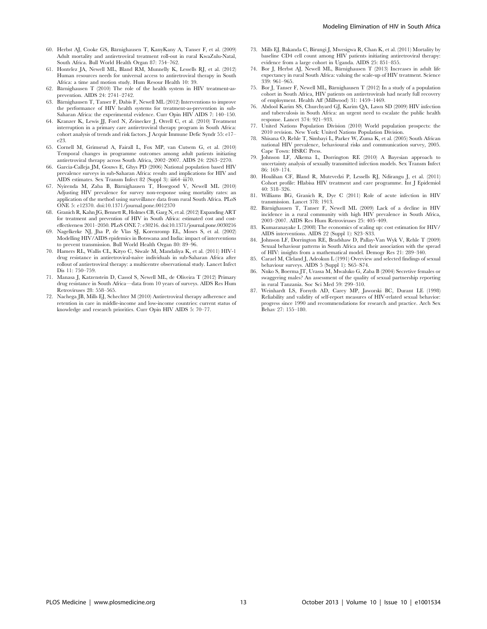- 60. Herbst AJ, Cooke GS, Bärnighausen T, KanyKany A, Tanser F, et al. (2009) Adult mortality and antiretroviral treatment roll-out in rural KwaZulu-Natal, South Africa. Bull World Health Organ 87: 754–762.
- 61. Hontelez JA, Newell ML, Bland RM, Munnelly K, Lessells RJ, et al. (2012) Human resources needs for universal access to antiretroviral therapy in South Africa: a time and motion study. Hum Resour Health 10: 39.
- 62. Bärnighausen  $T(2010)$  The role of the health system in HIV treatment-asprevention. AIDS 24: 2741–2742.
- 63. Bärnighausen T, Tanser F, Dabis F, Newell ML (2012) Interventions to improve the performance of HIV health systems for treatment-as-prevention in sub-Saharan Africa: the experimental evidence. Curr Opin HIV AIDS 7: 140–150.
- 64. Kranzer K, Lewis JJ, Ford N, Zeinecker J, Orrell C, et al. (2010) Treatment interruption in a primary care antiretroviral therapy program in South Africa: cohort analysis of trends and risk factors. J Acquir Immune Defic Syndr 55: e17– e23.
- 65. Cornell M, Grimsrud A, Fairall L, Fox MP, van Cutsem G, et al. (2010) Temporal changes in programme outcomes among adult patients initiating antiretroviral therapy across South Africa, 2002–2007. AIDS 24: 2263–2270.
- 66. Garcia-Calleja JM, Gouws E, Ghys PD (2006) National population based HIV prevalence surveys in sub-Saharan Africa: results and implications for HIV and AIDS estimates. Sex Transm Infect 82 (Suppl 3): iii64–iii70.
- 67. Nyirenda M, Zaba B, Bärnighausen T, Hosegood V, Newell ML (2010) Adjusting HIV prevalence for survey non-response using mortality rates: an application of the method using surveillance data from rural South Africa. PLoS ONE 5: e12370. doi:10.1371/journal.pone.0012370
- 68. Granich R, Kahn JG, Bennett R, Holmes CB, Garg N, et al. (2012) Expanding ART for treatment and prevention of HIV in South Africa: estimated cost and costeffectiveness 2011–2050. PLoS ONE 7: e30216. doi:10.1371/journal.pone.0030216
- 69. Nagelkerke NJ, Jha P, de Vlas SJ, Korenromp EL, Moses S, et al. (2002) Modelling HIV/AIDS epidemics in Botswana and India: impact of interventions to prevent transmission. Bull World Health Organ 80: 89–96.
- 70. Hamers RL, Wallis CL, Kityo C, Siwale M, Mandaliya K, et al. (2011) HIV-1 drug resistance in antiretroviral-naive individuals in sub-Saharan Africa after rollout of antiretroviral therapy: a multicentre observational study. Lancet Infect Dis 11: 750–759.
- 71. Manasa J, Katzenstein D, Cassol S, Newell ML, de Oliveira T (2012) Primary drug resistance in South Africa—data from 10 years of surveys. AIDS Res Hum Retroviruses 28: 558–565.
- 72. Nachega JB, Mills EJ, Schechter M (2010) Antiretroviral therapy adherence and retention in care in middle-income and low-income countries: current status of knowledge and research priorities. Curr Opin HIV AIDS 5: 70–77.
- 73. Mills EJ, Bakanda C, Birungi J, Mwesigwa R, Chan K, et al. (2011) Mortality by baseline CD4 cell count among HIV patients initiating antiretroviral therapy: evidence from a large cohort in Uganda. AIDS 25: 851–855.
- 74. Bor J, Herbst AJ, Newell ML, Bärnighausen T (2013) Increases in adult life expectancy in rural South Africa: valuing the scale-up of HIV treatment. Science 339: 961–965.
- 75. Bor J, Tanser F, Newell ML, Bärnighausen T (2012) In a study of a population cohort in South Africa, HIV patients on antiretrovirals had nearly full recovery of employment. Health Aff (Millwood) 31: 1459–1469.
- 76. Abdool Karim SS, Churchyard GJ, Karim QA, Lawn SD (2009) HIV infection and tuberculosis in South Africa: an urgent need to escalate the public health response. Lancet 374: 921–933.
- 77. United Nations Population Division (2010) World population prospects: the 2010 revision. New York: United Nations Population Division.
- 78. Shisana O, Rehle T, Simbayi L, Parker W, Zuma K, et al. (2005) South African national HIV prevalence, behavioural risks and communication survey, 2005. Cape Town: HSRC Press.
- 79. Johnson LF, Alkema L, Dorrington RE (2010) A Bayesian approach to uncertainty analysis of sexually transmitted infection models. Sex Transm Infect 86: 169–174.
- 80. Houlihan CF, Bland R, Mutevedzi P, Lessells RJ, Ndirangu J, et al. (2011) Cohort profile: Hlabisa HIV treatment and care programme. Int J Epidemiol 40: 318–326.
- 81. Williams BG, Granich R, Dye C (2011) Role of acute infection in HIV transmission. Lancet 378: 1913.
- 82. Bärnighausen T, Tanser F, Newell ML (2009) Lack of a decline in HIV incidence in a rural community with high HIV prevalence in South Africa, 2003–2007. AIDS Res Hum Retroviruses 25: 405–409.
- 83. Kumaranayake L (2008) The economics of scaling up: cost estimation for HIV/ AIDS interventions. AIDS 22 (Suppl 1): S23–S33.
- 84. Johnson LF, Dorrington RE, Bradshaw D, Pallay-Van Wyk V, Rehle T (2009) Sexual behaviour patterns in South Africa and their association with the spread of HIV: insights from a mathematical model. Demogr Res 21: 289–340.
- 85. Carael M, Cleland J, Adeokun L (1991) Overview and selected findings of sexual behaviour surveys. AIDS 5 (Suppl 1): S65–S74.
- 86. Nnko S, Boerma JT, Urassa M, Mwaluko G, Zaba B (2004) Secretive females or swaggering males? An assessment of the quality of sexual partnership reporting in rural Tanzania. Soc Sci Med 59: 299–310.
- 87. Weinhardt LS, Forsyth AD, Carey MP, Jaworski BC, Durant LE (1998) Reliability and validity of self-report measures of HIV-related sexual behavior: progress since 1990 and recommendations for research and practice. Arch Sex Behav 27: 155–180.